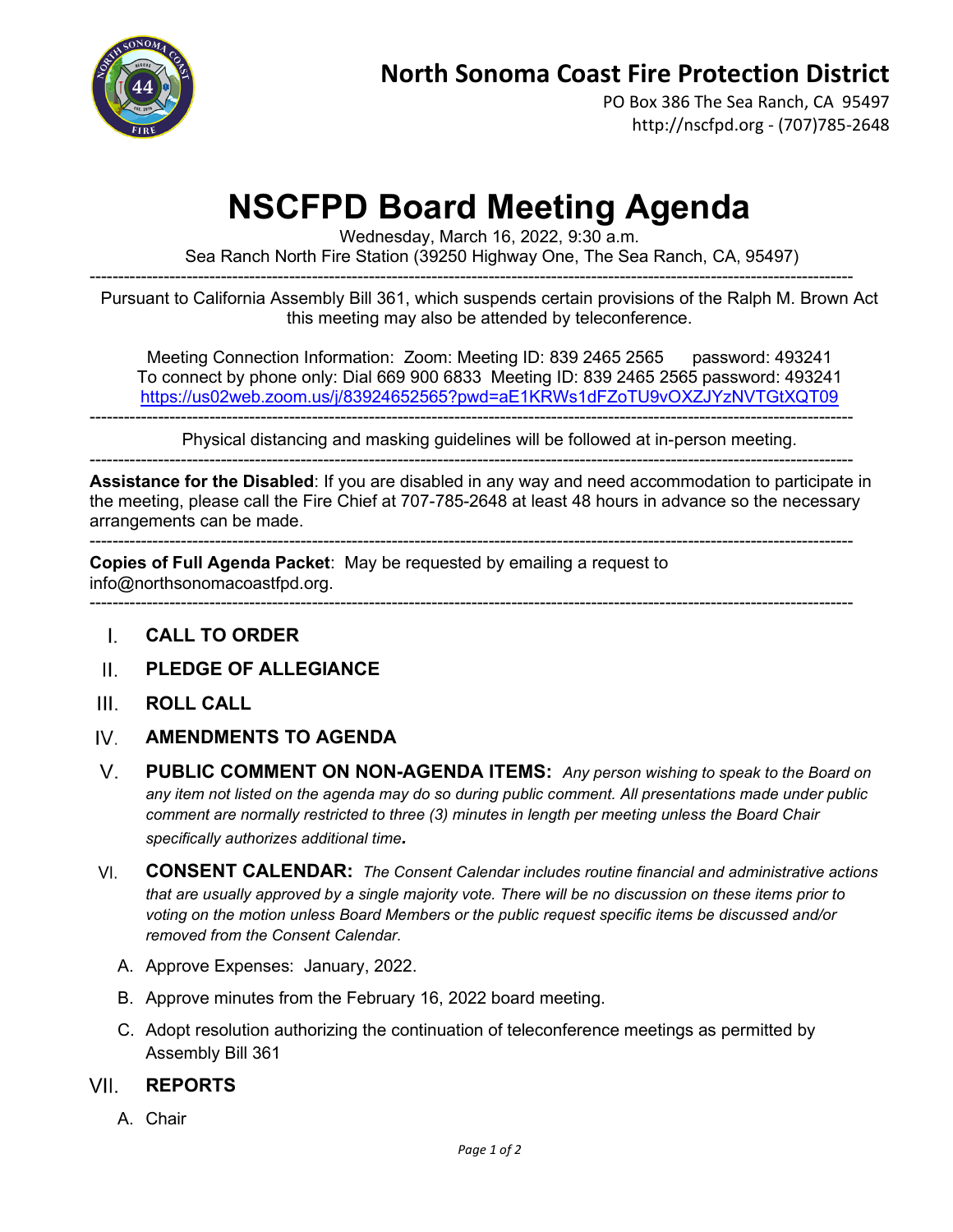

PO Box 386 The Sea Ranch, CA 95497 http://nscfpd.org - (707)785-2648

## **NSCFPD Board Meeting Agenda**

Wednesday, March 16, 2022, 9:30 a.m.

Sea Ranch North Fire Station (39250 Highway One, The Sea Ranch, CA, 95497)

-------------------------------------------------------------------------------------------------------------------------------------- Pursuant to California Assembly Bill 361, which suspends certain provisions of the Ralph M. Brown Act this meeting may also be attended by teleconference.

Meeting Connection Information: Zoom: Meeting ID: 839 2465 2565 password: 493241 To connect by phone only: Dial 669 900 6833 Meeting ID: 839 2465 2565 password: 493241 <https://us02web.zoom.us/j/83924652565?pwd=aE1KRWs1dFZoTU9vOXZJYzNVTGtXQT09>

Physical distancing and masking guidelines will be followed at in-person meeting.

--------------------------------------------------------------------------------------------------------------------------------------

--------------------------------------------------------------------------------------------------------------------------------------

**Assistance for the Disabled**: If you are disabled in any way and need accommodation to participate in the meeting, please call the Fire Chief at 707-785-2648 at least 48 hours in advance so the necessary arrangements can be made.

-------------------------------------------------------------------------------------------------------------------------------------- **Copies of Full Agenda Packet**: May be requested by emailing a request to

info@northsonomacoastfpd.org.

--------------------------------------------------------------------------------------------------------------------------------------

- **CALL TO ORDER** L.
- **PLEDGE OF ALLEGIANCE**  $\mathbf{H}$
- $III$ **ROLL CALL**
- IV. **AMENDMENTS TO AGENDA**
- $V_{\cdot}$ **PUBLIC COMMENT ON NON-AGENDA ITEMS:** *Any person wishing to speak to the Board on any item not listed on the agenda may do so during public comment. All presentations made under public comment are normally restricted to three (3) minutes in length per meeting unless the Board Chair specifically authorizes additional time.*
- **CONSENT CALENDAR:** *The Consent Calendar includes routine financial and administrative actions*  VI. *that are usually approved by a single majority vote. There will be no discussion on these items prior to voting on the motion unless Board Members or the public request specific items be discussed and/or removed from the Consent Calendar.*
	- A. Approve Expenses: January, 2022.
	- B. Approve minutes from the February 16, 2022 board meeting.
	- C. Adopt resolution authorizing the continuation of teleconference meetings as permitted by Assembly Bill 361

## VII **REPORTS**

A. Chair